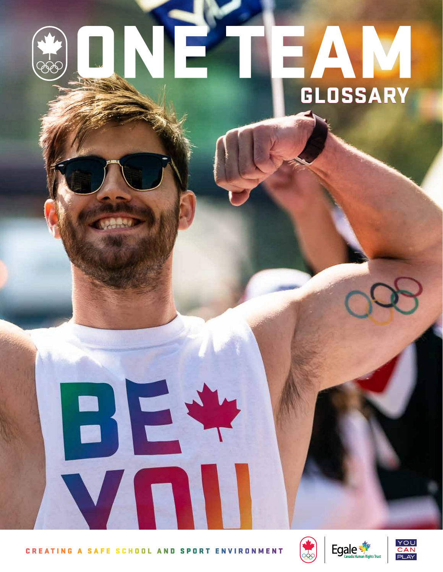# ONE EAN **GLOSSARY**

**CREATING A SAFE SCHOOL AND SPORT ENVIRONMENT** 

BJE





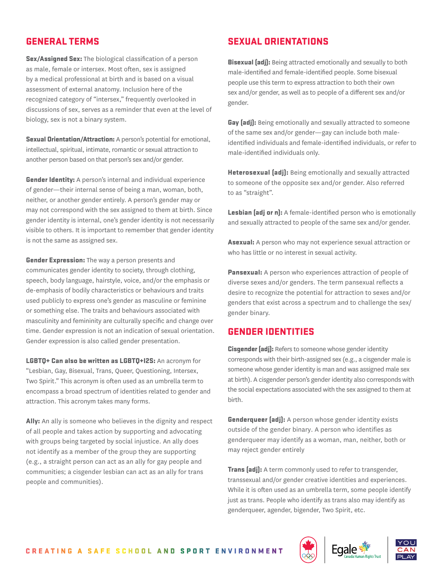# GENERAL TERMS

**Sex/Assigned Sex:** The biological classification of a person as male, female or intersex. Most often, sex is assigned by a medical professional at birth and is based on a visual assessment of external anatomy. Inclusion here of the recognized category of "intersex," frequently overlooked in discussions of sex, serves as a reminder that even at the level of biology, sex is not a binary system.

**Sexual Drientation/Attraction:** A person's potential for emotional, intellectual, spiritual, intimate, romantic or sexual attraction to another person based on that person's sex and/or gender.

**Gender Identity:** A person's internal and individual experience of gender—their internal sense of being a man, woman, both, neither, or another gender entirely. A person's gender may or may not correspond with the sex assigned to them at birth. Since gender identity is internal, one's gender identity is not necessarily visible to others. It is important to remember that gender identity is not the same as assigned sex.

**Gender Expression:** The way a person presents and communicates gender identity to society, through clothing, speech, body language, hairstyle, voice, and/or the emphasis or de-emphasis of bodily characteristics or behaviours and traits used publicly to express one's gender as masculine or feminine or something else. The traits and behaviours associated with masculinity and femininity are culturally specific and change over time. Gender expression is not an indication of sexual orientation. Gender expression is also called gender presentation.

LGBTQ+ Can also be written as LGBTQ+I2S: An acronym for "Lesbian, Gay, Bisexual, Trans, Queer, Questioning, Intersex, Two Spirit." This acronym is often used as an umbrella term to encompass a broad spectrum of identities related to gender and attraction. This acronym takes many forms.

Ally: An ally is someone who believes in the dignity and respect of all people and takes action by supporting and advocating with groups being targeted by social injustice. An ally does not identify as a member of the group they are supporting (e.g., a straight person can act as an ally for gay people and communities; a cisgender lesbian can act as an ally for trans people and communities).

# SEXUAL ORIENTATIONS

**Bisexual (adj):** Being attracted emotionally and sexually to both male-identified and female-identified people. Some bisexual people use this term to express attraction to both their own sex and/or gender, as well as to people of a different sex and/or gender.

**Gay (adj):** Being emotionally and sexually attracted to someone of the same sex and/or gender—gay can include both maleidentified individuals and female-identified individuals, or refer to male-identified individuals only.

Heterosexual [adj]: Being emotionally and sexually attracted to someone of the opposite sex and/or gender. Also referred to as "straight".

Lesbian (adj or n): A female-identified person who is emotionally and sexually attracted to people of the same sex and/or gender.

Asexual: A person who may not experience sexual attraction or who has little or no interest in sexual activity.

**Pansexual:** A person who experiences attraction of people of diverse sexes and/or genders. The term pansexual reflects a desire to recognize the potential for attraction to sexes and/or genders that exist across a spectrum and to challenge the sex/ gender binary.

#### GENDER IDENTITIES

**Cisgender (adj):** Refers to someone whose gender identity corresponds with their birth-assigned sex (e.g., a cisgender male is someone whose gender identity is man and was assigned male sex at birth). A cisgender person's gender identity also corresponds with the social expectations associated with the sex assigned to them at birth.

**Genderqueer (adj):** A person whose gender identity exists outside of the gender binary. A person who identifies as genderqueer may identify as a woman, man, neither, both or may reject gender entirely

**Trans (adj):** A term commonly used to refer to transgender, transsexual and/or gender creative identities and experiences. While it is often used as an umbrella term, some people identify just as trans. People who identify as trans also may identify as genderqueer, agender, bigender, Two Spirit, etc.





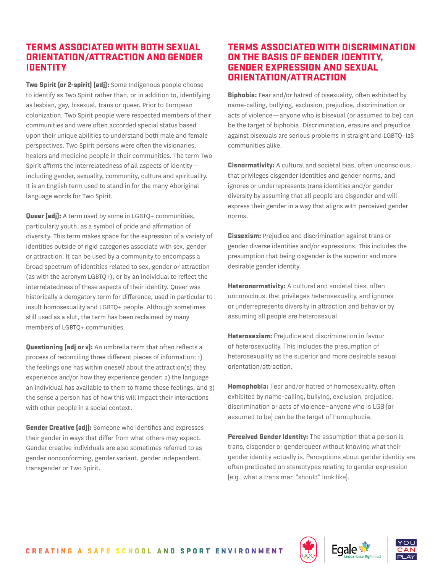## TERMS ASSOCIATED WITH BOTH SEXUAL ORIENTATION/ATTRACTION AND GENDER IDENTITY

Two Spirit (or 2-spirit) (adj): Some Indigenous people choose to identify as Two Spirit rather than, or in addition to, identifying as lesbian, gay, bisexual, trans or queer. Prior to European colonization, Two Spirit people were respected members of their communities and were often accorded special status based upon their unique abilities to understand both male and female perspectives. Two Spirit persons were often the visionaries, healers and medicine people in their communities. The term Two Spirit affirms the interrelatedness of all aspects of identity including gender, sexuality, community, culture and spirituality. It is an English term used to stand in for the many Aboriginal language words for Two Spirit.

**Queer (adj):** A term used by some in LGBTQ+ communities, particularly youth, as a symbol of pride and affirmation of diversity. This term makes space for the expression of a variety of identities outside of rigid categories associate with sex, gender or attraction. It can be used by a community to encompass a broad spectrum of identities related to sex, gender or attraction (as with the acronym LGBTQ+), or by an individual to reflect the interrelatedness of these aspects of their identity. Queer was historically a derogatory term for difference, used in particular to insult homosexuality and LGBTQ+ people. Although sometimes still used as a slut, the term has been reclaimed by many members of LGBTQ+ communities.

**Questioning (adj or v):** An umbrella term that often reflects a process of reconciling three different pieces of information: 1) the feelings one has within oneself about the attraction(s) they experience and/or how they experience gender; 2) the language an individual has available to them to frame those feelings; and 3) the sense a person has of how this will impact their interactions with other people in a social context.

**Gender Creative (adj):** Someone who identifies and expresses their gender in ways that differ from what others may expect. Gender creative individuals are also sometimes referred to as gender nonconforming, gender variant, gender independent, transgender or Two Spirit.

## TERMS ASSOCIATED WITH DISCRIMINATION ON THE BASIS OF GENDER IDENTITY, GENDER EXPRESSION AND SEXUAL ORIENTATION/ATTRACTION

**Biphobia:** Fear and/or hatred of bisexuality, often exhibited by name-calling, bullying, exclusion, prejudice, discrimination or acts of violence—anyone who is bisexual (or assumed to be) can be the target of biphobia. Discrimination, erasure and prejudice against bisexuals are serious problems in straight and LGBTQ+I2S communities alike.

Cisnormativity: A cultural and societal bias, often unconscious, that privileges cisgender identities and gender norms, and ignores or underrepresents trans identities and/or gender diversity by assuming that all people are cisgender and will express their gender in a way that aligns with perceived gender norms.

**Cissexism:** Prejudice and discrimination against trans or gender diverse identities and/or expressions. This includes the presumption that being cisgender is the superior and more desirable gender identity.

**Heteronormativity:** A cultural and societal bias, often unconscious, that privileges heterosexuality, and ignores or underrepresents diversity in attraction and behavior by assuming all people are heterosexual.

**Heterosexism:** Prejudice and discrimination in favour of heterosexuality. This includes the presumption of heterosexuality as the superior and more desirable sexual orientation/attraction.

Homophobia: Fear and/or hatred of homosexuality, often exhibited by name-calling, bullying, exclusion, prejudice, discrimination or acts of violence—anyone who is LGB (or assumed to be) can be the target of homophobia.

Perceived Gender Identity: The assumption that a person is trans, cisgender or genderqueer without knowing what their gender identity actually is. Perceptions about gender identity are often predicated on stereotypes relating to gender expression (e.g., what a trans man "should" look like).